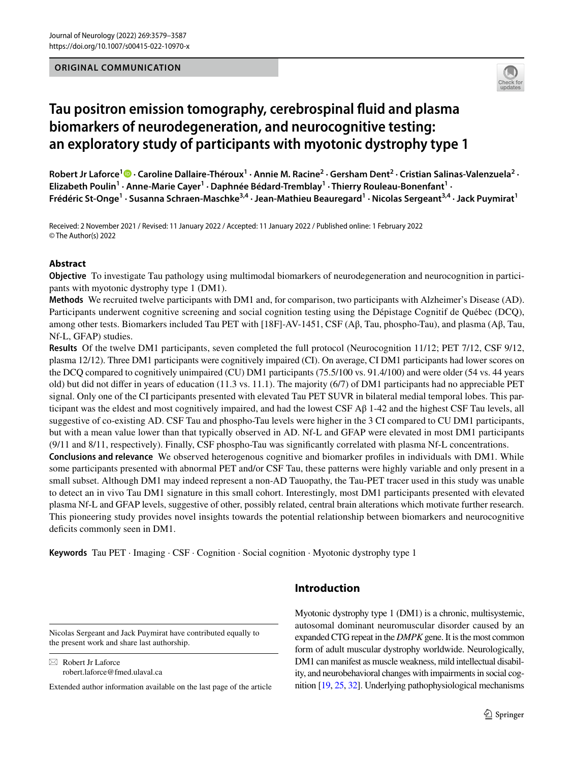## **ORIGINAL COMMUNICATION**



# **Tau positron emission tomography, cerebrospinal fuid and plasma biomarkers of neurodegeneration, and neurocognitive testing: an exploratory study of participants with myotonic dystrophy type 1**

Robert Jr Laforce<sup>1</sup> <sup>®</sup> [·](http://orcid.org/0000-0002-2031-490X) Caroline Dallaire-Théroux<sup>1</sup> · Annie M. Racine<sup>2</sup> · Gersham Dent<sup>2</sup> · Cristian Salinas-Valenzuela<sup>2</sup> · Elizabeth Poulin<sup>1</sup> · Anne-Marie Cayer<sup>1</sup> · Daphnée Bédard-Tremblay<sup>1</sup> · Thierry Rouleau-Bonenfant<sup>1</sup> · **Frédéric St‑Onge1 · Susanna Schraen‑Maschke3,4 · Jean‑Mathieu Beauregard1 · Nicolas Sergeant3,4 · Jack Puymirat1**

Received: 2 November 2021 / Revised: 11 January 2022 / Accepted: 11 January 2022 / Published online: 1 February 2022 © The Author(s) 2022

## **Abstract**

**Objective** To investigate Tau pathology using multimodal biomarkers of neurodegeneration and neurocognition in participants with myotonic dystrophy type 1 (DM1).

**Methods** We recruited twelve participants with DM1 and, for comparison, two participants with Alzheimer's Disease (AD). Participants underwent cognitive screening and social cognition testing using the Dépistage Cognitif de Québec (DCQ), among other tests. Biomarkers included Tau PET with [18F]-AV-1451, CSF (Aβ, Tau, phospho-Tau), and plasma (Aβ, Tau, Nf-L, GFAP) studies.

**Results** Of the twelve DM1 participants, seven completed the full protocol (Neurocognition 11/12; PET 7/12, CSF 9/12, plasma 12/12). Three DM1 participants were cognitively impaired (CI). On average, CI DM1 participants had lower scores on the DCQ compared to cognitively unimpaired (CU) DM1 participants (75.5/100 vs. 91.4/100) and were older (54 vs. 44 years old) but did not difer in years of education (11.3 vs. 11.1). The majority (6/7) of DM1 participants had no appreciable PET signal. Only one of the CI participants presented with elevated Tau PET SUVR in bilateral medial temporal lobes. This participant was the eldest and most cognitively impaired, and had the lowest CSF  $\beta$  1-42 and the highest CSF Tau levels, all suggestive of co-existing AD. CSF Tau and phospho-Tau levels were higher in the 3 CI compared to CU DM1 participants, but with a mean value lower than that typically observed in AD. Nf-L and GFAP were elevated in most DM1 participants (9/11 and 8/11, respectively). Finally, CSF phospho-Tau was signifcantly correlated with plasma Nf-L concentrations.

**Conclusions and relevance** We observed heterogenous cognitive and biomarker profles in individuals with DM1. While some participants presented with abnormal PET and/or CSF Tau, these patterns were highly variable and only present in a small subset. Although DM1 may indeed represent a non-AD Tauopathy, the Tau-PET tracer used in this study was unable to detect an in vivo Tau DM1 signature in this small cohort. Interestingly, most DM1 participants presented with elevated plasma Nf-L and GFAP levels, suggestive of other, possibly related, central brain alterations which motivate further research. This pioneering study provides novel insights towards the potential relationship between biomarkers and neurocognitive deficits commonly seen in DM1.

**Keywords** Tau PET · Imaging · CSF · Cognition · Social cognition · Myotonic dystrophy type 1

Nicolas Sergeant and Jack Puymirat have contributed equally to

the present work and share last authorship.

 $\boxtimes$  Robert Jr Laforce robert.laforce@fmed.ulaval.ca

Extended author information available on the last page of the article

# **Introduction**

Myotonic dystrophy type 1 (DM1) is a chronic, multisystemic, autosomal dominant neuromuscular disorder caused by an expanded CTG repeat in the *DMPK* gene. It is the most common form of adult muscular dystrophy worldwide. Neurologically, DM1 can manifest as muscle weakness, mild intellectual disability, and neurobehavioral changes with impairments in social cognition [\[19,](#page-7-0) [25,](#page-8-0) [32\]](#page-8-1). Underlying pathophysiological mechanisms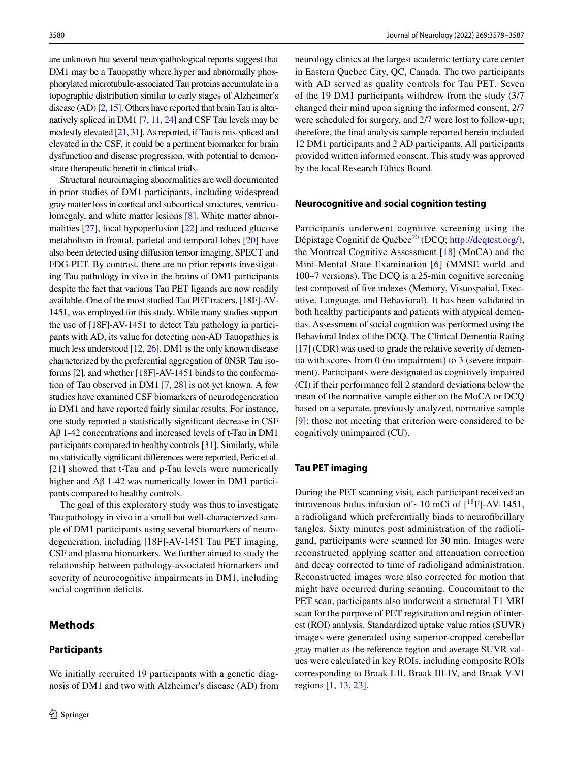are unknown but several neuropathological reports suggest that DM1 may be a Tauopathy where hyper and abnormally phosphorylated microtubule-associated Tau proteins accumulate in a topographic distribution similar to early stages of Alzheimer's disease (AD) [[2](#page-7-1), [15\]](#page-7-2). Others have reported that brain Tau is alternatively spliced in DM1 [\[7](#page-7-3), [11](#page-7-4), [24](#page-7-5)] and CSF Tau levels may be modestly elevated [\[21](#page-7-6), [31\]](#page-8-2). As reported, if Tau is mis-spliced and elevated in the CSF, it could be a pertinent biomarker for brain dysfunction and disease progression, with potential to demonstrate therapeutic beneft in clinical trials.

Structural neuroimaging abnormalities are well documented in prior studies of DM1 participants, including widespread gray matter loss in cortical and subcortical structures, ventriculomegaly, and white matter lesions [\[8](#page-7-7)]. White matter abnormalities [\[27](#page-8-3)], focal hypoperfusion [[22\]](#page-7-8) and reduced glucose metabolism in frontal, parietal and temporal lobes [\[20](#page-7-9)] have also been detected using difusion tensor imaging, SPECT and FDG-PET. By contrast, there are no prior reports investigating Tau pathology in vivo in the brains of DM1 participants despite the fact that various Tau PET ligands are now readily available. One of the most studied Tau PET tracers, [18F]-AV-1451, was employed for this study. While many studies support the use of [18F]-AV-1451 to detect Tau pathology in participants with AD, its value for detecting non-AD Tauopathies is much less understood [\[12,](#page-7-10) [26](#page-8-4)]. DM1 is the only known disease characterized by the preferential aggregation of 0N3R Tau isoforms [[2\]](#page-7-1), and whether [18F]-AV-1451 binds to the conformation of Tau observed in DM1 [[7,](#page-7-3) [28](#page-8-5)] is not yet known. A few studies have examined CSF biomarkers of neurodegeneration in DM1 and have reported fairly similar results. For instance, one study reported a statistically signifcant decrease in CSF Aβ 1-42 concentrations and increased levels of t-Tau in DM1 participants compared to healthy controls [\[31\]](#page-8-2). Similarly, while no statistically signifcant diferences were reported, Peric et al. [\[21\]](#page-7-6) showed that t-Tau and p-Tau levels were numerically higher and  $Aβ$  1-42 was numerically lower in DM1 participants compared to healthy controls.

The goal of this exploratory study was thus to investigate Tau pathology in vivo in a small but well-characterized sample of DM1 participants using several biomarkers of neurodegeneration, including [18F]-AV-1451 Tau PET imaging, CSF and plasma biomarkers. We further aimed to study the relationship between pathology-associated biomarkers and severity of neurocognitive impairments in DM1, including social cognition deficits.

We initially recruited 19 participants with a genetic diagnosis of DM1 and two with Alzheimer's disease (AD) from

## **Methods**

#### **Participants**

neurology clinics at the largest academic tertiary care center in Eastern Quebec City, QC, Canada. The two participants with AD served as quality controls for Tau PET. Seven of the 19 DM1 participants withdrew from the study (3/7 changed their mind upon signing the informed consent, 2/7 were scheduled for surgery, and 2/7 were lost to follow-up); therefore, the fnal analysis sample reported herein included 12 DM1 participants and 2 AD participants. All participants provided written informed consent. This study was approved by the local Research Ethics Board.

#### **Neurocognitive and social cognition testing**

Participants underwent cognitive screening using the Dépistage Cognitif de Québec<sup>20</sup> (DCQ; <http://dcqtest.org/>), the Montreal Cognitive Assessment [[18\]](#page-7-11) (MoCA) and the Mini-Mental State Examination [[6\]](#page-7-12) (MMSE world and 100–7 versions). The DCQ is a 25-min cognitive screening test composed of fve indexes (Memory, Visuospatial, Executive, Language, and Behavioral). It has been validated in both healthy participants and patients with atypical dementias. Assessment of social cognition was performed using the Behavioral Index of the DCQ. The Clinical Dementia Rating [\[17](#page-7-13)] (CDR) was used to grade the relative severity of dementia with scores from 0 (no impairment) to 3 (severe impairment). Participants were designated as cognitively impaired (CI) if their performance fell 2 standard deviations below the mean of the normative sample either on the MoCA or DCQ based on a separate, previously analyzed, normative sample [[9\]](#page-7-14); those not meeting that criterion were considered to be cognitively unimpaired (CU).

## **Tau PET imaging**

During the PET scanning visit, each participant received an intravenous bolus infusion of  $\sim 10$  mCi of  $[^{18}F]$ -AV-1451, a radioligand which preferentially binds to neurofbrillary tangles. Sixty minutes post administration of the radioligand, participants were scanned for 30 min. Images were reconstructed applying scatter and attenuation correction and decay corrected to time of radioligand administration. Reconstructed images were also corrected for motion that might have occurred during scanning. Concomitant to the PET scan, participants also underwent a structural T1 MRI scan for the purpose of PET registration and region of interest (ROI) analysis. Standardized uptake value ratios (SUVR) images were generated using superior-cropped cerebellar gray matter as the reference region and average SUVR values were calculated in key ROIs, including composite ROIs corresponding to Braak I-II, Braak III-IV, and Braak V-VI regions [[1,](#page-7-15) [13,](#page-7-16) [23\]](#page-7-17).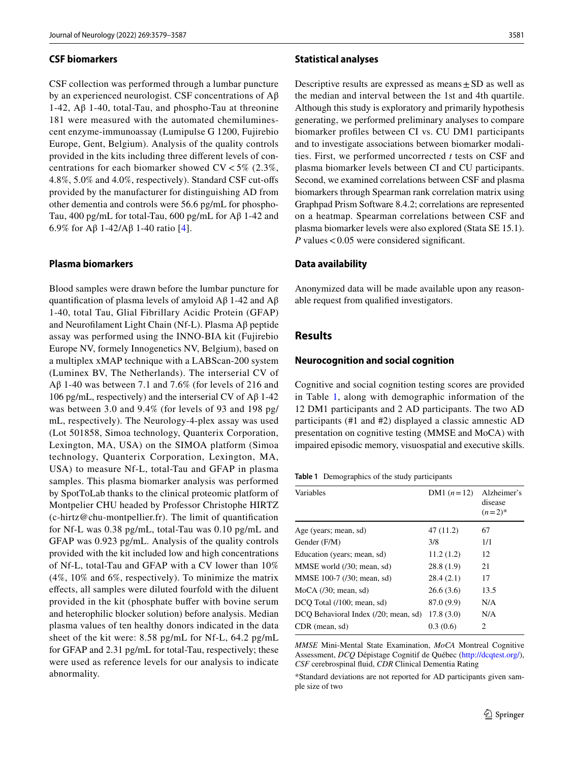#### **CSF biomarkers**

CSF collection was performed through a lumbar puncture by an experienced neurologist. CSF concentrations of Aβ 1-42, Aβ 1-40, total-Tau, and phospho-Tau at threonine 181 were measured with the automated chemiluminescent enzyme-immunoassay (Lumipulse G 1200, Fujirebio Europe, Gent, Belgium). Analysis of the quality controls provided in the kits including three diferent levels of concentrations for each biomarker showed  $CV < 5\%$  (2.3%, 4.8%, 5.0% and 4.0%, respectively). Standard CSF cut-ofs provided by the manufacturer for distinguishing AD from other dementia and controls were 56.6 pg/mL for phospho-Tau, 400 pg/mL for total-Tau, 600 pg/mL for Aβ 1-42 and 6.9% for Aβ 1-42/Aβ 1-40 ratio [[4](#page-7-18)].

## **Plasma biomarkers**

Blood samples were drawn before the lumbar puncture for quantification of plasma levels of amyloid  $A\beta$  1-42 and  $A\beta$ 1-40, total Tau, Glial Fibrillary Acidic Protein (GFAP) and Neuroflament Light Chain (Nf-L). Plasma Aβ peptide assay was performed using the INNO-BIA kit (Fujirebio Europe NV, formely Innogenetics NV, Belgium), based on a multiplex xMAP technique with a LABScan-200 system (Luminex BV, The Netherlands). The interserial CV of Aβ 1-40 was between 7.1 and 7.6% (for levels of 216 and 106 pg/mL, respectively) and the interserial CV of  $\mathsf{A}\beta$  1-42 was between 3.0 and 9.4% (for levels of 93 and 198 pg/ mL, respectively). The Neurology-4-plex assay was used (Lot 501858, Simoa technology, Quanterix Corporation, Lexington, MA, USA) on the SIMOA platform (Simoa technology, Quanterix Corporation, Lexington, MA, USA) to measure Nf-L, total-Tau and GFAP in plasma samples. This plasma biomarker analysis was performed by SpotToLab thanks to the clinical proteomic platform of Montpelier CHU headed by Professor Christophe HIRTZ (c-hirtz@chu-montpellier.fr). The limit of quantifcation for Nf-L was 0.38 pg/mL, total-Tau was 0.10 pg/mL and GFAP was 0.923 pg/mL. Analysis of the quality controls provided with the kit included low and high concentrations of Nf-L, total-Tau and GFAP with a CV lower than 10% (4%, 10% and 6%, respectively). To minimize the matrix efects, all samples were diluted fourfold with the diluent provided in the kit (phosphate buffer with bovine serum and heterophilic blocker solution) before analysis. Median plasma values of ten healthy donors indicated in the data sheet of the kit were: 8.58 pg/mL for Nf-L, 64.2 pg/mL for GFAP and 2.31 pg/mL for total-Tau, respectively; these were used as reference levels for our analysis to indicate abnormality.

#### **Statistical analyses**

Descriptive results are expressed as means $\pm$ SD as well as the median and interval between the 1st and 4th quartile. Although this study is exploratory and primarily hypothesis generating, we performed preliminary analyses to compare biomarker profles between CI vs. CU DM1 participants and to investigate associations between biomarker modalities. First, we performed uncorrected *t* tests on CSF and plasma biomarker levels between CI and CU participants. Second, we examined correlations between CSF and plasma biomarkers through Spearman rank correlation matrix using Graphpad Prism Software 8.4.2; correlations are represented on a heatmap. Spearman correlations between CSF and plasma biomarker levels were also explored (Stata SE 15.1). *P* values < 0.05 were considered significant.

#### **Data availability**

Anonymized data will be made available upon any reasonable request from qualifed investigators.

## **Results**

#### **Neurocognition and social cognition**

Cognitive and social cognition testing scores are provided in Table [1,](#page-2-0) along with demographic information of the 12 DM1 participants and 2 AD participants. The two AD participants (#1 and #2) displayed a classic amnestic AD presentation on cognitive testing (MMSE and MoCA) with impaired episodic memory, visuospatial and executive skills.

<span id="page-2-0"></span>**Table 1** Demographics of the study participants

| DM1 $(n=12)$ | Alzheimer's<br>disease<br>$(n=2)^{*}$ |
|--------------|---------------------------------------|
| 47(11.2)     | 67                                    |
| 3/8          | 1/1                                   |
| 11.2(1.2)    | 12                                    |
| 28.8(1.9)    | 21                                    |
| 28.4(2.1)    | 17                                    |
| 26.6(3.6)    | 13.5                                  |
| 87.0 (9.9)   | N/A                                   |
| 17.8(3.0)    | N/A                                   |
| 0.3(0.6)     | 2                                     |
|              |                                       |

*MMSE* Mini-Mental State Examination, *MoCA* Montreal Cognitive Assessment, *DCQ* Dépistage Cognitif de Québec [\(http://dcqtest.org/](http://dcqtest.org/)), *CSF* cerebrospinal fuid, *CDR* Clinical Dementia Rating

\*Standard deviations are not reported for AD participants given sample size of two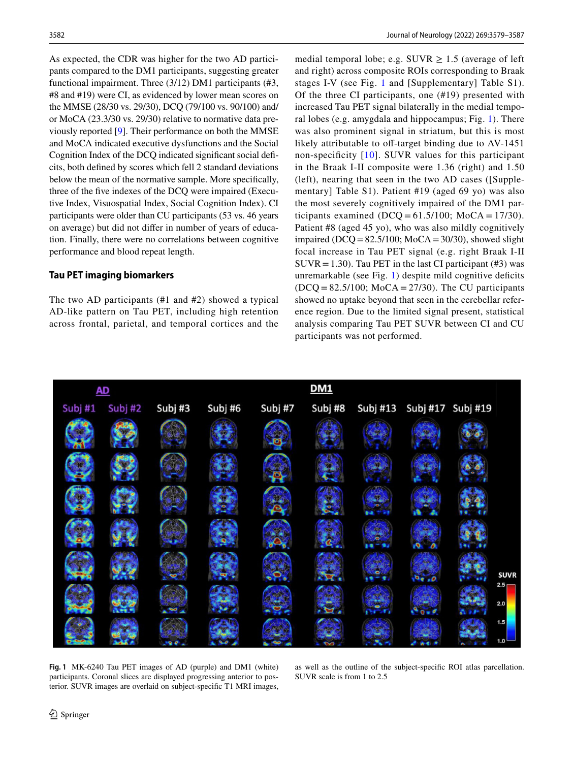As expected, the CDR was higher for the two AD participants compared to the DM1 participants, suggesting greater functional impairment. Three (3/12) DM1 participants (#3, #8 and #19) were CI, as evidenced by lower mean scores on the MMSE (28/30 vs. 29/30), DCQ (79/100 vs. 90/100) and/ or MoCA (23.3/30 vs. 29/30) relative to normative data previously reported [\[9](#page-7-14)]. Their performance on both the MMSE and MoCA indicated executive dysfunctions and the Social Cognition Index of the DCQ indicated signifcant social defcits, both defned by scores which fell 2 standard deviations below the mean of the normative sample. More specifcally, three of the fve indexes of the DCQ were impaired (Executive Index, Visuospatial Index, Social Cognition Index). CI participants were older than CU participants (53 vs. 46 years on average) but did not difer in number of years of education. Finally, there were no correlations between cognitive performance and blood repeat length.

## **Tau PET imaging biomarkers**

The two AD participants (#1 and #2) showed a typical AD-like pattern on Tau PET, including high retention across frontal, parietal, and temporal cortices and the medial temporal lobe; e.g. SUVR  $\geq$  1.5 (average of left and right) across composite ROIs corresponding to Braak stages I-V (see Fig. [1](#page-3-0) and [Supplementary] Table S1). Of the three CI participants, one (#19) presented with increased Tau PET signal bilaterally in the medial temporal lobes (e.g. amygdala and hippocampus; Fig. [1](#page-3-0)). There was also prominent signal in striatum, but this is most likely attributable to off-target binding due to  $AV-1451$ non-specifcity [[10\]](#page-7-19). SUVR values for this participant in the Braak I-II composite were 1.36 (right) and 1.50 (left), nearing that seen in the two AD cases ([Supplementary] Table S1). Patient #19 (aged 69 yo) was also the most severely cognitively impaired of the DM1 participants examined (DCQ =  $61.5/100$ ; MoCA =  $17/30$ ). Patient #8 (aged 45 yo), who was also mildly cognitively impaired (DCQ =  $82.5/100$ ; MoCA =  $30/30$ ), showed slight focal increase in Tau PET signal (e.g. right Braak I-II SUVR = 1.30). Tau PET in the last CI participant (#3) was unremarkable (see Fig.  $1$ ) despite mild cognitive deficits  $(DCQ = 82.5/100; MOCA = 27/30)$ . The CU participants showed no uptake beyond that seen in the cerebellar reference region. Due to the limited signal present, statistical analysis comparing Tau PET SUVR between CI and CU participants was not performed.



<span id="page-3-0"></span>**Fig. 1** MK-6240 Tau PET images of AD (purple) and DM1 (white) participants. Coronal slices are displayed progressing anterior to posterior. SUVR images are overlaid on subject-specifc T1 MRI images,

as well as the outline of the subject-specifc ROI atlas parcellation. SUVR scale is from 1 to 2.5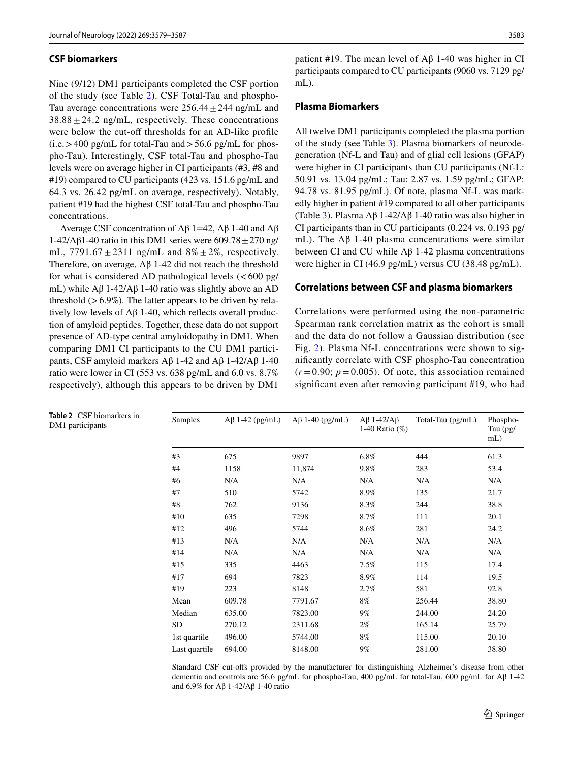#### **CSF biomarkers**

Nine (9/12) DM1 participants completed the CSF portion of the study (see Table [2](#page-4-0)). CSF Total-Tau and phospho-Tau average concentrations were  $256.44 \pm 244$  ng/mL and  $38.88 \pm 24.2$  ng/mL, respectively. These concentrations were below the cut-off thresholds for an AD-like profile  $(i.e. > 400 \text{ pg/mL}$  for total-Tau and  $> 56.6 \text{ pg/mL}$  for phospho-Tau). Interestingly, CSF total-Tau and phospho-Tau levels were on average higher in CI participants (#3, #8 and #19) compared to CU participants (423 vs. 151.6 pg/mL and 64.3 vs. 26.42 pg/mL on average, respectively). Notably, patient #19 had the highest CSF total-Tau and phospho-Tau concentrations.

Average CSF concentration of  $A\beta$  1=42,  $A\beta$  1-40 and  $A\beta$ 1-42/Aβ1-40 ratio in this DM1 series were  $609.78 \pm 270$  ng/ mL,  $7791.67 \pm 2311$  ng/mL and  $8\% \pm 2\%$ , respectively. Therefore, on average, Aβ 1-42 did not reach the threshold for what is considered AD pathological levels  $(<600 \text{ pg/m})$ mL) while  $Aβ$  1-42/ $Aβ$  1-40 ratio was slightly above an AD threshold  $(>6.9\%)$ . The latter appears to be driven by relatively low levels of Aβ 1-40, which refects overall production of amyloid peptides. Together, these data do not support presence of AD-type central amyloidopathy in DM1. When comparing DM1 CI participants to the CU DM1 participants, CSF amyloid markers Aβ 1-42 and Aβ 1-42/Aβ 1-40 ratio were lower in CI (553 vs. 638 pg/mL and 6.0 vs. 8.7% respectively), although this appears to be driven by DM1

patient #19. The mean level of  $A\beta$  1-40 was higher in CI participants compared to CU participants (9060 vs. 7129 pg/ mL).

## **Plasma Biomarkers**

All twelve DM1 participants completed the plasma portion of the study (see Table [3\)](#page-5-0). Plasma biomarkers of neurodegeneration (Nf-L and Tau) and of glial cell lesions (GFAP) were higher in CI participants than CU participants (Nf-L: 50.91 vs. 13.04 pg/mL; Tau: 2.87 vs. 1.59 pg/mL; GFAP: 94.78 vs. 81.95 pg/mL). Of note, plasma Nf-L was markedly higher in patient #19 compared to all other participants (Table [3\)](#page-5-0). Plasma Aβ 1-42/Aβ 1-40 ratio was also higher in CI participants than in CU participants (0.224 vs. 0.193 pg/ mL). The Aβ 1-40 plasma concentrations were similar between CI and CU while  $\text{A}$ β 1-42 plasma concentrations were higher in CI (46.9 pg/mL) versus CU (38.48 pg/mL).

#### **Correlations between CSF and plasma biomarkers**

Correlations were performed using the non-parametric Spearman rank correlation matrix as the cohort is small and the data do not follow a Gaussian distribution (see Fig. [2](#page-5-1)). Plasma Nf-L concentrations were shown to signifcantly correlate with CSF phospho-Tau concentration  $(r=0.90; p=0.005)$ . Of note, this association remained signifcant even after removing participant #19, who had

| Samples       | $A\beta$ 1-42 (pg/mL) | $A\beta$ 1-40 (pg/mL) | $A\beta$ 1-42/ $A\beta$<br>1-40 Ratio $(\%)$ | Total-Tau (pg/mL) | Phospho-<br>Tau (pg/<br>$mL$ ) |
|---------------|-----------------------|-----------------------|----------------------------------------------|-------------------|--------------------------------|
| #3            | 675                   | 9897                  | 6.8%                                         | 444               | 61.3                           |
| #4            | 1158                  | 11,874                | 9.8%                                         | 283               | 53.4                           |
| #6            | N/A                   | N/A                   | N/A                                          | N/A               | N/A                            |
| #7            | 510                   | 5742                  | 8.9%                                         | 135               | 21.7                           |
| #8            | 762                   | 9136                  | 8.3%                                         | 244               | 38.8                           |
| #10           | 635                   | 7298                  | 8.7%                                         | 111               | 20.1                           |
| #12           | 496                   | 5744                  | 8.6%                                         | 281               | 24.2                           |
| #13           | N/A                   | N/A                   | N/A                                          | N/A               | N/A                            |
| #14           | N/A                   | N/A                   | N/A                                          | N/A               | N/A                            |
| #15           | 335                   | 4463                  | 7.5%                                         | 115               | 17.4                           |
| #17           | 694                   | 7823                  | 8.9%                                         | 114               | 19.5                           |
| #19           | 223                   | 8148                  | 2.7%                                         | 581               | 92.8                           |
| Mean          | 609.78                | 7791.67               | 8%                                           | 256.44            | 38.80                          |
| Median        | 635.00                | 7823.00               | $9\%$                                        | 244.00            | 24.20                          |
| SD            | 270.12                | 2311.68               | 2%                                           | 165.14            | 25.79                          |
| 1st quartile  | 496.00                | 5744.00               | 8%                                           | 115.00            | 20.10                          |
| Last quartile | 694.00                | 8148.00               | 9%                                           | 281.00            | 38.80                          |

Standard CSF cut-ofs provided by the manufacturer for distinguishing Alzheimer's disease from other dementia and controls are 56.6 pg/mL for phospho-Tau, 400 pg/mL for total-Tau, 600 pg/mL for Aβ 1-42 and 6.9% for Aβ 1-42/Aβ 1-40 ratio

<span id="page-4-0"></span>

|                  |  | <b>Table 2</b> CSF biomarkers in |  |
|------------------|--|----------------------------------|--|
| DM1 participants |  |                                  |  |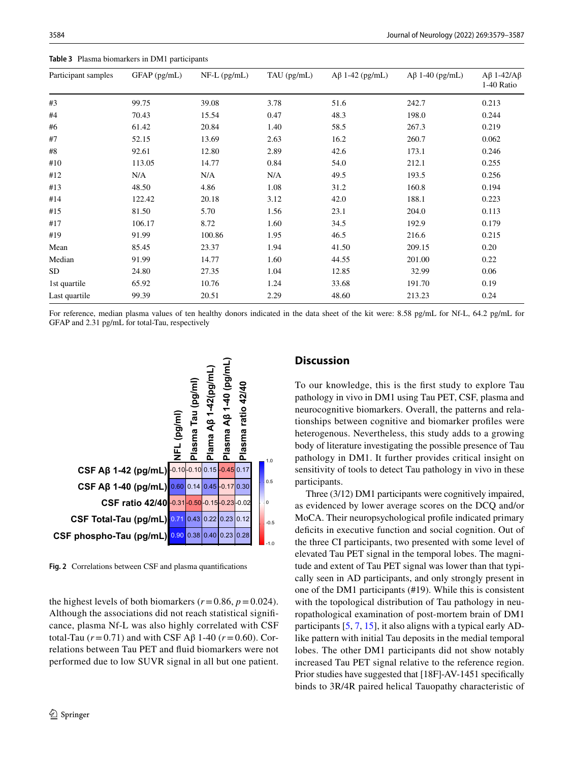| Participant samples | GFAP (pg/mL) | $NF-L$ (pg/mL) | TAU (pg/mL) | $A\beta$ 1-42 (pg/mL) | $A\beta$ 1-40 (pg/mL) | $A\beta$ 1-42/ $A\beta$<br>1-40 Ratio |
|---------------------|--------------|----------------|-------------|-----------------------|-----------------------|---------------------------------------|
| #3                  | 99.75        | 39.08          | 3.78        | 51.6                  | 242.7                 | 0.213                                 |
| #4                  | 70.43        | 15.54          | 0.47        | 48.3                  | 198.0                 | 0.244                                 |
| #6                  | 61.42        | 20.84          | 1.40        | 58.5                  | 267.3                 | 0.219                                 |
| #7                  | 52.15        | 13.69          | 2.63        | 16.2                  | 260.7                 | 0.062                                 |
| #8                  | 92.61        | 12.80          | 2.89        | 42.6                  | 173.1                 | 0.246                                 |
| #10                 | 113.05       | 14.77          | 0.84        | 54.0                  | 212.1                 | 0.255                                 |
| #12                 | N/A          | N/A            | N/A         | 49.5                  | 193.5                 | 0.256                                 |
| #13                 | 48.50        | 4.86           | 1.08        | 31.2                  | 160.8                 | 0.194                                 |
| #14                 | 122.42       | 20.18          | 3.12        | 42.0                  | 188.1                 | 0.223                                 |
| #15                 | 81.50        | 5.70           | 1.56        | 23.1                  | 204.0                 | 0.113                                 |
| #17                 | 106.17       | 8.72           | 1.60        | 34.5                  | 192.9                 | 0.179                                 |
| #19                 | 91.99        | 100.86         | 1.95        | 46.5                  | 216.6                 | 0.215                                 |
| Mean                | 85.45        | 23.37          | 1.94        | 41.50                 | 209.15                | 0.20                                  |
| Median              | 91.99        | 14.77          | 1.60        | 44.55                 | 201.00                | 0.22                                  |
| <b>SD</b>           | 24.80        | 27.35          | 1.04        | 12.85                 | 32.99                 | 0.06                                  |
| 1st quartile        | 65.92        | 10.76          | 1.24        | 33.68                 | 191.70                | 0.19                                  |
| Last quartile       | 99.39        | 20.51          | 2.29        | 48.60                 | 213.23                | 0.24                                  |

<span id="page-5-0"></span>**Table 3** Plasma biomarkers in DM1 participants

For reference, median plasma values of ten healthy donors indicated in the data sheet of the kit were: 8.58 pg/mL for Nf-L, 64.2 pg/mL for GFAP and 2.31 pg/mL for total-Tau, respectively



<span id="page-5-1"></span>**Fig. 2** Correlations between CSF and plasma quantifcations

the highest levels of both biomarkers ( $r = 0.86$ ,  $p = 0.024$ ). Although the associations did not reach statistical signifcance, plasma Nf-L was also highly correlated with CSF total-Tau (*r*=0.71) and with CSF Aβ 1-40 (*r*=0.60). Correlations between Tau PET and fuid biomarkers were not performed due to low SUVR signal in all but one patient.

## **Discussion**

To our knowledge, this is the frst study to explore Tau pathology in vivo in DM1 using Tau PET, CSF, plasma and neurocognitive biomarkers. Overall, the patterns and relationships between cognitive and biomarker profles were heterogenous. Nevertheless, this study adds to a growing body of literature investigating the possible presence of Tau pathology in DM1. It further provides critical insight on sensitivity of tools to detect Tau pathology in vivo in these participants.

Three (3/12) DM1 participants were cognitively impaired, as evidenced by lower average scores on the DCQ and/or MoCA. Their neuropsychological profle indicated primary deficits in executive function and social cognition. Out of the three CI participants, two presented with some level of elevated Tau PET signal in the temporal lobes. The magnitude and extent of Tau PET signal was lower than that typically seen in AD participants, and only strongly present in one of the DM1 participants (#19). While this is consistent with the topological distribution of Tau pathology in neuropathological examination of post-mortem brain of DM1 participants [[5,](#page-7-20) [7](#page-7-3), [15](#page-7-2)], it also aligns with a typical early ADlike pattern with initial Tau deposits in the medial temporal lobes. The other DM1 participants did not show notably increased Tau PET signal relative to the reference region. Prior studies have suggested that [18F]-AV-1451 specifcally binds to 3R/4R paired helical Tauopathy characteristic of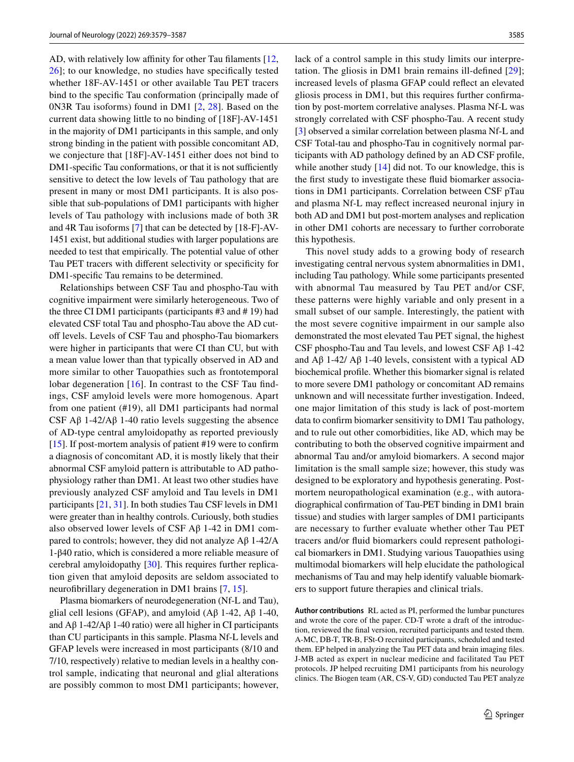AD, with relatively low affinity for other Tau filaments  $[12, 12]$  $[12, 12]$  $[12, 12]$ [26](#page-8-4)]; to our knowledge, no studies have specifcally tested whether 18F-AV-1451 or other available Tau PET tracers bind to the specifc Tau conformation (principally made of 0N3R Tau isoforms) found in DM1 [[2](#page-7-1), [28](#page-8-5)]. Based on the current data showing little to no binding of [18F]-AV-1451 in the majority of DM1 participants in this sample, and only strong binding in the patient with possible concomitant AD, we conjecture that [18F]-AV-1451 either does not bind to DM1-specific Tau conformations, or that it is not sufficiently sensitive to detect the low levels of Tau pathology that are present in many or most DM1 participants. It is also possible that sub-populations of DM1 participants with higher levels of Tau pathology with inclusions made of both 3R and 4R Tau isoforms [\[7](#page-7-3)] that can be detected by [18-F]-AV-1451 exist, but additional studies with larger populations are needed to test that empirically. The potential value of other Tau PET tracers with diferent selectivity or specifcity for DM1-specifc Tau remains to be determined.

Relationships between CSF Tau and phospho-Tau with cognitive impairment were similarly heterogeneous. Two of the three CI DM1 participants (participants #3 and # 19) had elevated CSF total Tau and phospho-Tau above the AD cutoff levels. Levels of CSF Tau and phospho-Tau biomarkers were higher in participants that were CI than CU, but with a mean value lower than that typically observed in AD and more similar to other Tauopathies such as frontotemporal lobar degeneration  $[16]$ . In contrast to the CSF Tau findings, CSF amyloid levels were more homogenous. Apart from one patient (#19), all DM1 participants had normal CSF  $\overrightarrow{AB}$  1-42/ $\overrightarrow{AB}$  1-40 ratio levels suggesting the absence of AD-type central amyloidopathy as reported previously [\[15](#page-7-2)]. If post-mortem analysis of patient  $\#19$  were to confirm a diagnosis of concomitant AD, it is mostly likely that their abnormal CSF amyloid pattern is attributable to AD pathophysiology rather than DM1. At least two other studies have previously analyzed CSF amyloid and Tau levels in DM1 participants [\[21](#page-7-6), [31\]](#page-8-2). In both studies Tau CSF levels in DM1 were greater than in healthy controls. Curiously, both studies also observed lower levels of CSF  $\mathbf{A}\beta$  1-42 in DM1 compared to controls; however, they did not analyze Aβ 1-42/A 1-β40 ratio, which is considered a more reliable measure of cerebral amyloidopathy [[30\]](#page-8-6). This requires further replication given that amyloid deposits are seldom associated to neurofbrillary degeneration in DM1 brains [\[7](#page-7-3), [15](#page-7-2)].

Plasma biomarkers of neurodegeneration (Nf-L and Tau), glial cell lesions (GFAP), and amyloid ( $\text{A}\beta$  1-42,  $\text{A}\beta$  1-40, and  $Aβ$  1-42/ $Aβ$  1-40 ratio) were all higher in CI participants than CU participants in this sample. Plasma Nf-L levels and GFAP levels were increased in most participants (8/10 and 7/10, respectively) relative to median levels in a healthy control sample, indicating that neuronal and glial alterations are possibly common to most DM1 participants; however,

lack of a control sample in this study limits our interpretation. The gliosis in DM1 brain remains ill-defned [[29](#page-8-7)]; increased levels of plasma GFAP could refect an elevated gliosis process in DM1, but this requires further confrmation by post-mortem correlative analyses. Plasma Nf-L was strongly correlated with CSF phospho-Tau. A recent study [\[3](#page-7-22)] observed a similar correlation between plasma Nf-L and CSF Total-tau and phospho-Tau in cognitively normal participants with AD pathology defned by an AD CSF profle, while another study [\[14](#page-7-23)] did not. To our knowledge, this is the frst study to investigate these fuid biomarker associations in DM1 participants. Correlation between CSF pTau and plasma Nf-L may refect increased neuronal injury in both AD and DM1 but post-mortem analyses and replication in other DM1 cohorts are necessary to further corroborate this hypothesis.

This novel study adds to a growing body of research investigating central nervous system abnormalities in DM1, including Tau pathology. While some participants presented with abnormal Tau measured by Tau PET and/or CSF, these patterns were highly variable and only present in a small subset of our sample. Interestingly, the patient with the most severe cognitive impairment in our sample also demonstrated the most elevated Tau PET signal, the highest CSF phospho-Tau and Tau levels, and lowest CSF Aβ 1-42 and  $A\beta$  1-42/  $A\beta$  1-40 levels, consistent with a typical AD biochemical profle. Whether this biomarker signal is related to more severe DM1 pathology or concomitant AD remains unknown and will necessitate further investigation. Indeed, one major limitation of this study is lack of post-mortem data to confrm biomarker sensitivity to DM1 Tau pathology, and to rule out other comorbidities, like AD, which may be contributing to both the observed cognitive impairment and abnormal Tau and/or amyloid biomarkers. A second major limitation is the small sample size; however, this study was designed to be exploratory and hypothesis generating. Postmortem neuropathological examination (e.g., with autoradiographical confrmation of Tau-PET binding in DM1 brain tissue) and studies with larger samples of DM1 participants are necessary to further evaluate whether other Tau PET tracers and/or fuid biomarkers could represent pathological biomarkers in DM1. Studying various Tauopathies using multimodal biomarkers will help elucidate the pathological mechanisms of Tau and may help identify valuable biomarkers to support future therapies and clinical trials.

**Author contributions** RL acted as PI, performed the lumbar punctures and wrote the core of the paper. CD-T wrote a draft of the introduction, reviewed the fnal version, recruited participants and tested them. A-MC, DB-T, TR-B, FSt-O recruited participants, scheduled and tested them. EP helped in analyzing the Tau PET data and brain imaging fles. J-MB acted as expert in nuclear medicine and facilitated Tau PET protocols. JP helped recruiting DM1 participants from his neurology clinics. The Biogen team (AR, CS-V, GD) conducted Tau PET analyze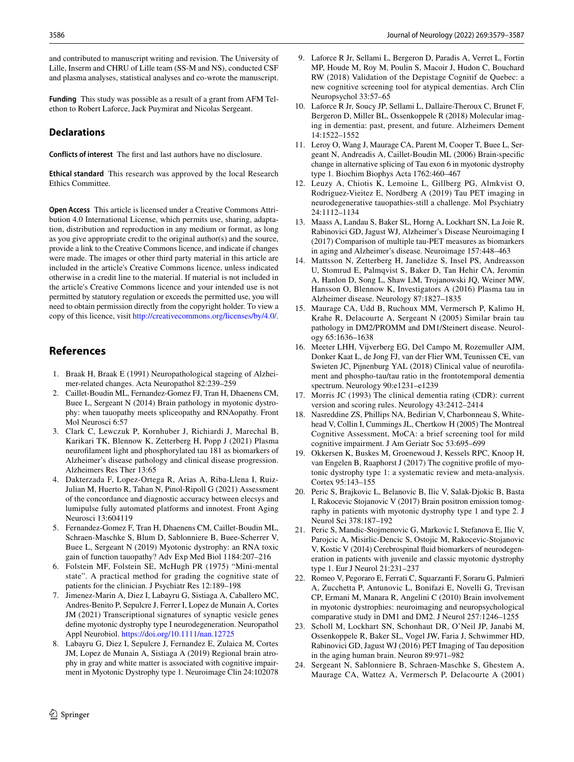and contributed to manuscript writing and revision. The University of Lille, Inserm and CHRU of Lille team (SS-M and NS), conducted CSF and plasma analyses, statistical analyses and co-wrote the manuscript.

**Funding** This study was possible as a result of a grant from AFM Telethon to Robert Laforce, Jack Puymirat and Nicolas Sergeant.

# **Declarations**

**Conflicts of interest** The frst and last authors have no disclosure.

**Ethical standard** This research was approved by the local Research Ethics Committee.

**Open Access** This article is licensed under a Creative Commons Attribution 4.0 International License, which permits use, sharing, adaptation, distribution and reproduction in any medium or format, as long as you give appropriate credit to the original author(s) and the source, provide a link to the Creative Commons licence, and indicate if changes were made. The images or other third party material in this article are included in the article's Creative Commons licence, unless indicated otherwise in a credit line to the material. If material is not included in the article's Creative Commons licence and your intended use is not permitted by statutory regulation or exceeds the permitted use, you will need to obtain permission directly from the copyright holder. To view a copy of this licence, visit <http://creativecommons.org/licenses/by/4.0/>.

# **References**

- <span id="page-7-15"></span>1. Braak H, Braak E (1991) Neuropathological stageing of Alzheimer-related changes. Acta Neuropathol 82:239–259
- <span id="page-7-1"></span>2. Caillet-Boudin ML, Fernandez-Gomez FJ, Tran H, Dhaenens CM, Buee L, Sergeant N (2014) Brain pathology in myotonic dystrophy: when tauopathy meets spliceopathy and RNAopathy. Front Mol Neurosci 6:57
- <span id="page-7-22"></span>3. Clark C, Lewczuk P, Kornhuber J, Richiardi J, Marechal B, Karikari TK, Blennow K, Zetterberg H, Popp J (2021) Plasma neuroflament light and phosphorylated tau 181 as biomarkers of Alzheimer's disease pathology and clinical disease progression. Alzheimers Res Ther 13:65
- <span id="page-7-18"></span>4. Dakterzada F, Lopez-Ortega R, Arias A, Riba-Llena I, Ruiz-Julian M, Huerto R, Tahan N, Pinol-Ripoll G (2021) Assessment of the concordance and diagnostic accuracy between elecsys and lumipulse fully automated platforms and innotest. Front Aging Neurosci 13:604119
- <span id="page-7-20"></span>5. Fernandez-Gomez F, Tran H, Dhaenens CM, Caillet-Boudin ML, Schraen-Maschke S, Blum D, Sablonniere B, Buee-Scherrer V, Buee L, Sergeant N (2019) Myotonic dystrophy: an RNA toxic gain of function tauopathy? Adv Exp Med Biol 1184:207–216
- <span id="page-7-12"></span>6. Folstein MF, Folstein SE, McHugh PR (1975) "Mini-mental state". A practical method for grading the cognitive state of patients for the clinician. J Psychiatr Res 12:189–198
- <span id="page-7-3"></span>7. Jimenez-Marin A, Diez I, Labayru G, Sistiaga A, Caballero MC, Andres-Benito P, Sepulcre J, Ferrer I, Lopez de Munain A, Cortes JM (2021) Transcriptional signatures of synaptic vesicle genes defne myotonic dystrophy type I neurodegeneration. Neuropathol Appl Neurobiol.<https://doi.org/10.1111/nan.12725>
- <span id="page-7-7"></span>8. Labayru G, Diez I, Sepulcre J, Fernandez E, Zulaica M, Cortes JM, Lopez de Munain A, Sistiaga A (2019) Regional brain atrophy in gray and white matter is associated with cognitive impairment in Myotonic Dystrophy type 1. Neuroimage Clin 24:102078
- <span id="page-7-14"></span>9. Laforce R Jr, Sellami L, Bergeron D, Paradis A, Verret L, Fortin MP, Houde M, Roy M, Poulin S, Macoir J, Hudon C, Bouchard RW (2018) Validation of the Depistage Cognitif de Quebec: a new cognitive screening tool for atypical dementias. Arch Clin Neuropsychol 33:57–65
- <span id="page-7-19"></span>10. Laforce R Jr, Soucy JP, Sellami L, Dallaire-Theroux C, Brunet F, Bergeron D, Miller BL, Ossenkoppele R (2018) Molecular imaging in dementia: past, present, and future. Alzheimers Dement 14:1522–1552
- <span id="page-7-4"></span>11. Leroy O, Wang J, Maurage CA, Parent M, Cooper T, Buee L, Sergeant N, Andreadis A, Caillet-Boudin ML (2006) Brain-specifc change in alternative splicing of Tau exon 6 in myotonic dystrophy type 1. Biochim Biophys Acta 1762:460–467
- <span id="page-7-10"></span>12. Leuzy A, Chiotis K, Lemoine L, Gillberg PG, Almkvist O, Rodriguez-Vieitez E, Nordberg A (2019) Tau PET imaging in neurodegenerative tauopathies-still a challenge. Mol Psychiatry 24:1112–1134
- <span id="page-7-16"></span>13. Maass A, Landau S, Baker SL, Horng A, Lockhart SN, La Joie R, Rabinovici GD, Jagust WJ, Alzheimer's Disease Neuroimaging I (2017) Comparison of multiple tau-PET measures as biomarkers in aging and Alzheimer's disease. Neuroimage 157:448–463
- <span id="page-7-23"></span>14. Mattsson N, Zetterberg H, Janelidze S, Insel PS, Andreasson U, Stomrud E, Palmqvist S, Baker D, Tan Hehir CA, Jeromin A, Hanlon D, Song L, Shaw LM, Trojanowski JQ, Weiner MW, Hansson O, Blennow K, Investigators A (2016) Plasma tau in Alzheimer disease. Neurology 87:1827–1835
- <span id="page-7-2"></span>15. Maurage CA, Udd B, Ruchoux MM, Vermersch P, Kalimo H, Krahe R, Delacourte A, Sergeant N (2005) Similar brain tau pathology in DM2/PROMM and DM1/Steinert disease. Neurology 65:1636–1638
- <span id="page-7-21"></span>16. Meeter LHH, Vijverberg EG, Del Campo M, Rozemuller AJM, Donker Kaat L, de Jong FJ, van der Flier WM, Teunissen CE, van Swieten JC, Pijnenburg YAL (2018) Clinical value of neuroflament and phospho-tau/tau ratio in the frontotemporal dementia spectrum. Neurology 90:e1231–e1239
- <span id="page-7-13"></span>17. Morris JC (1993) The clinical dementia rating (CDR): current version and scoring rules. Neurology 43:2412–2414
- <span id="page-7-11"></span>18. Nasreddine ZS, Phillips NA, Bedirian V, Charbonneau S, Whitehead V, Collin I, Cummings JL, Chertkow H (2005) The Montreal Cognitive Assessment, MoCA: a brief screening tool for mild cognitive impairment. J Am Geriatr Soc 53:695–699
- <span id="page-7-0"></span>19. Okkersen K, Buskes M, Groenewoud J, Kessels RPC, Knoop H, van Engelen B, Raaphorst J (2017) The cognitive profle of myotonic dystrophy type 1: a systematic review and meta-analysis. Cortex 95:143–155
- <span id="page-7-9"></span>20. Peric S, Brajkovic L, Belanovic B, Ilic V, Salak-Djokic B, Basta I, Rakocevic Stojanovic V (2017) Brain positron emission tomography in patients with myotonic dystrophy type 1 and type 2. J Neurol Sci 378:187–192
- <span id="page-7-6"></span>21. Peric S, Mandic-Stojmenovic G, Markovic I, Stefanova E, Ilic V, Parojcic A, Misirlic-Dencic S, Ostojic M, Rakocevic-Stojanovic V, Kostic V (2014) Cerebrospinal fuid biomarkers of neurodegeneration in patients with juvenile and classic myotonic dystrophy type 1. Eur J Neurol 21:231–237
- <span id="page-7-8"></span>22. Romeo V, Pegoraro E, Ferrati C, Squarzanti F, Soraru G, Palmieri A, Zucchetta P, Antunovic L, Bonifazi E, Novelli G, Trevisan CP, Ermani M, Manara R, Angelini C (2010) Brain involvement in myotonic dystrophies: neuroimaging and neuropsychological comparative study in DM1 and DM2. J Neurol 257:1246–1255
- <span id="page-7-17"></span>23. Scholl M, Lockhart SN, Schonhaut DR, O'Neil JP, Janabi M, Ossenkoppele R, Baker SL, Vogel JW, Faria J, Schwimmer HD, Rabinovici GD, Jagust WJ (2016) PET Imaging of Tau deposition in the aging human brain. Neuron 89:971–982
- <span id="page-7-5"></span>Sergeant N, Sablonniere B, Schraen-Maschke S, Ghestem A, Maurage CA, Wattez A, Vermersch P, Delacourte A (2001)